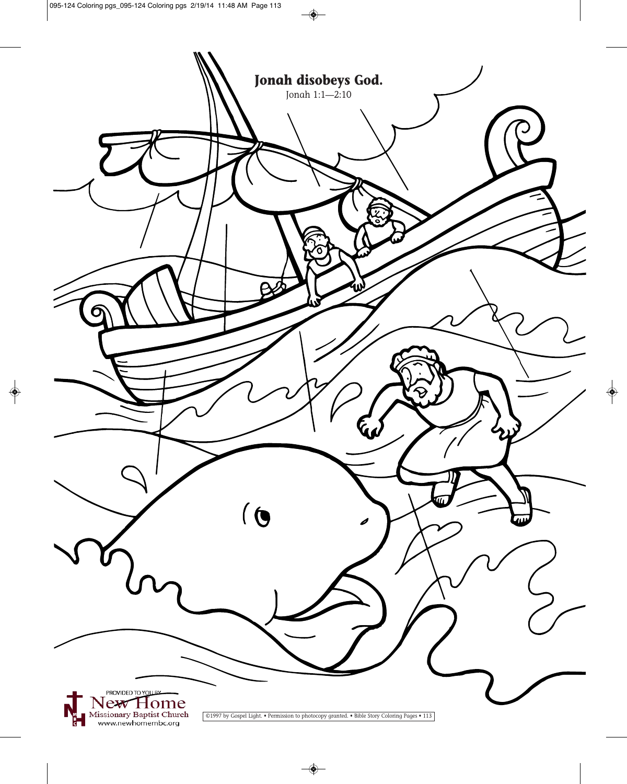